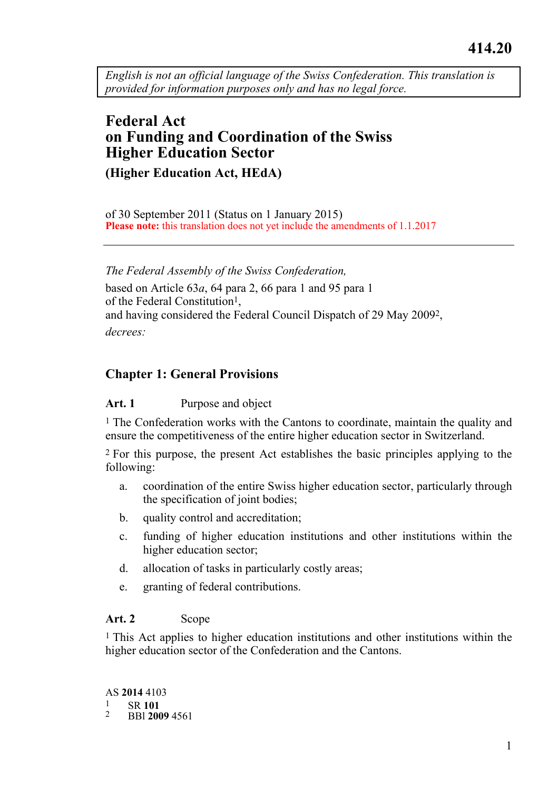*English is not an official language of the Swiss Confederation. This translation is provided for information purposes only and has no legal force.* 

# **Federal Act on Funding and Coordination of the Swiss Higher Education Sector (Higher Education Act, HEdA)**

of 30 September 2011 (Status on 1 January 2015)

**Please note:** this translation does not yet include the amendments of 1.1.2017

*The Federal Assembly of the Swiss Confederation,* 

based on Article 63*a*, 64 para 2, 66 para 1 and 95 para 1 of the Federal Constitution1, and having considered the Federal Council Dispatch of 29 May 20092, *decrees:* 

# **Chapter 1: General Provisions**

# **Art. 1** Purpose and object

<sup>1</sup> The Confederation works with the Cantons to coordinate, maintain the quality and ensure the competitiveness of the entire higher education sector in Switzerland.

2 For this purpose, the present Act establishes the basic principles applying to the following:

- a. coordination of the entire Swiss higher education sector, particularly through the specification of joint bodies;
- b. quality control and accreditation;
- c. funding of higher education institutions and other institutions within the higher education sector;
- d. allocation of tasks in particularly costly areas;
- e. granting of federal contributions.

# Art. 2 Scope

1 This Act applies to higher education institutions and other institutions within the higher education sector of the Confederation and the Cantons.

AS **2014** 4103 1 SR **<sup>101</sup>** 2 BBl **2009**<sup>4561</sup>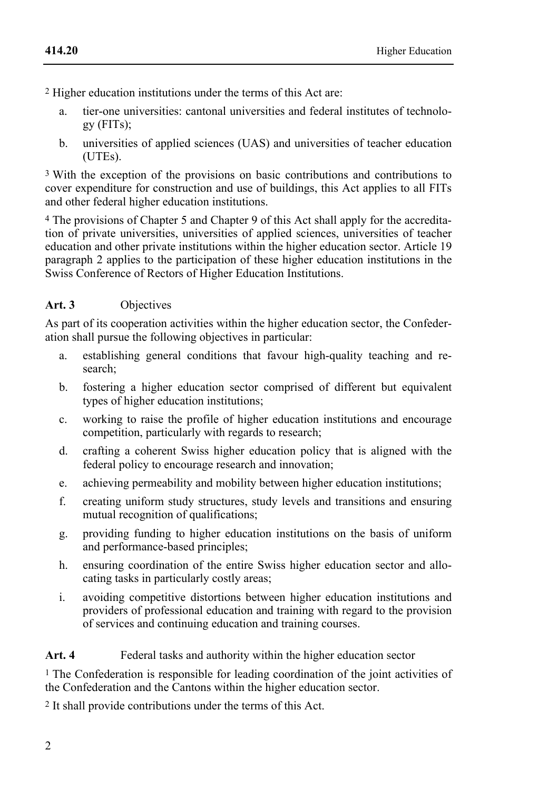2 Higher education institutions under the terms of this Act are:

- a. tier-one universities: cantonal universities and federal institutes of technology (FITs);
- b. universities of applied sciences (UAS) and universities of teacher education (UTEs).

3 With the exception of the provisions on basic contributions and contributions to cover expenditure for construction and use of buildings, this Act applies to all FITs and other federal higher education institutions.

4 The provisions of Chapter 5 and Chapter 9 of this Act shall apply for the accreditation of private universities, universities of applied sciences, universities of teacher education and other private institutions within the higher education sector. Article 19 paragraph 2 applies to the participation of these higher education institutions in the Swiss Conference of Rectors of Higher Education Institutions.

### **Art. 3** Objectives

As part of its cooperation activities within the higher education sector, the Confederation shall pursue the following objectives in particular:

- a. establishing general conditions that favour high-quality teaching and research;
- b. fostering a higher education sector comprised of different but equivalent types of higher education institutions;
- c. working to raise the profile of higher education institutions and encourage competition, particularly with regards to research;
- d. crafting a coherent Swiss higher education policy that is aligned with the federal policy to encourage research and innovation;
- e. achieving permeability and mobility between higher education institutions;
- f. creating uniform study structures, study levels and transitions and ensuring mutual recognition of qualifications;
- g. providing funding to higher education institutions on the basis of uniform and performance-based principles;
- h. ensuring coordination of the entire Swiss higher education sector and allocating tasks in particularly costly areas;
- i. avoiding competitive distortions between higher education institutions and providers of professional education and training with regard to the provision of services and continuing education and training courses.

# Art. 4 Federal tasks and authority within the higher education sector

<sup>1</sup> The Confederation is responsible for leading coordination of the joint activities of the Confederation and the Cantons within the higher education sector.

2 It shall provide contributions under the terms of this Act.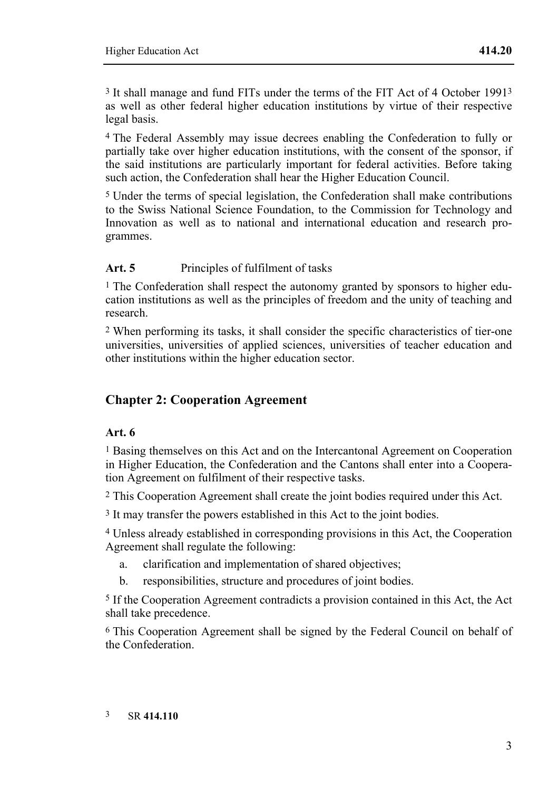3 It shall manage and fund FITs under the terms of the FIT Act of 4 October 19913 as well as other federal higher education institutions by virtue of their respective legal basis.

4 The Federal Assembly may issue decrees enabling the Confederation to fully or partially take over higher education institutions, with the consent of the sponsor, if the said institutions are particularly important for federal activities. Before taking such action, the Confederation shall hear the Higher Education Council.

5 Under the terms of special legislation, the Confederation shall make contributions to the Swiss National Science Foundation, to the Commission for Technology and Innovation as well as to national and international education and research programmes.

#### Art. 5 Principles of fulfilment of tasks

<sup>1</sup> The Confederation shall respect the autonomy granted by sponsors to higher education institutions as well as the principles of freedom and the unity of teaching and research.

2 When performing its tasks, it shall consider the specific characteristics of tier-one universities, universities of applied sciences, universities of teacher education and other institutions within the higher education sector.

# **Chapter 2: Cooperation Agreement**

#### **Art. 6**

1 Basing themselves on this Act and on the Intercantonal Agreement on Cooperation in Higher Education, the Confederation and the Cantons shall enter into a Cooperation Agreement on fulfilment of their respective tasks.

2 This Cooperation Agreement shall create the joint bodies required under this Act.

<sup>3</sup> It may transfer the powers established in this Act to the joint bodies.

4 Unless already established in corresponding provisions in this Act, the Cooperation Agreement shall regulate the following:

- a. clarification and implementation of shared objectives;
- b. responsibilities, structure and procedures of joint bodies.

5 If the Cooperation Agreement contradicts a provision contained in this Act, the Act shall take precedence.

6 This Cooperation Agreement shall be signed by the Federal Council on behalf of the Confederation.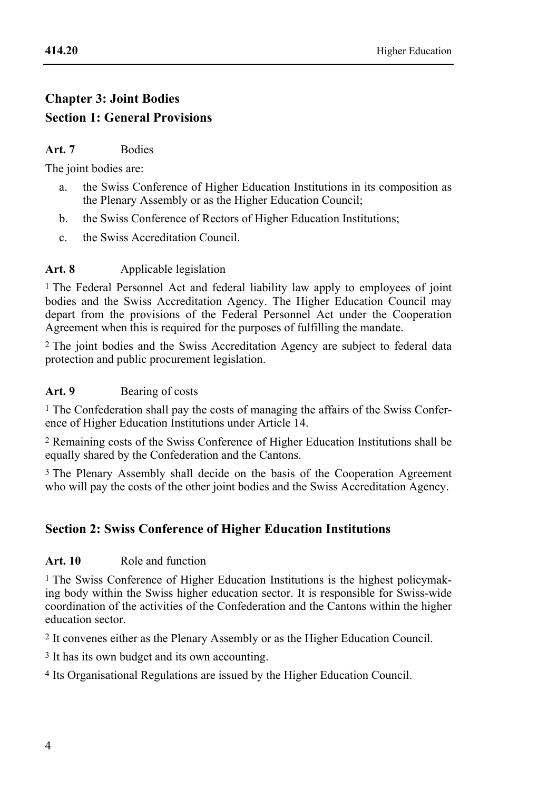# **Chapter 3: Joint Bodies Section 1: General Provisions**

### **Art. 7** Bodies

The joint bodies are:

- a. the Swiss Conference of Higher Education Institutions in its composition as the Plenary Assembly or as the Higher Education Council;
- b. the Swiss Conference of Rectors of Higher Education Institutions;
- c. the Swiss Accreditation Council.

# Art. 8 Applicable legislation

1 The Federal Personnel Act and federal liability law apply to employees of joint bodies and the Swiss Accreditation Agency. The Higher Education Council may depart from the provisions of the Federal Personnel Act under the Cooperation Agreement when this is required for the purposes of fulfilling the mandate.

2 The joint bodies and the Swiss Accreditation Agency are subject to federal data protection and public procurement legislation.

### Art. 9 **Bearing of costs**

1 The Confederation shall pay the costs of managing the affairs of the Swiss Conference of Higher Education Institutions under Article 14.

2 Remaining costs of the Swiss Conference of Higher Education Institutions shall be equally shared by the Confederation and the Cantons.

3 The Plenary Assembly shall decide on the basis of the Cooperation Agreement who will pay the costs of the other joint bodies and the Swiss Accreditation Agency.

# **Section 2: Swiss Conference of Higher Education Institutions**

# **Art. 10** Role and function

1 The Swiss Conference of Higher Education Institutions is the highest policymaking body within the Swiss higher education sector. It is responsible for Swiss-wide coordination of the activities of the Confederation and the Cantons within the higher education sector.

2 It convenes either as the Plenary Assembly or as the Higher Education Council.

3 It has its own budget and its own accounting.

4 Its Organisational Regulations are issued by the Higher Education Council.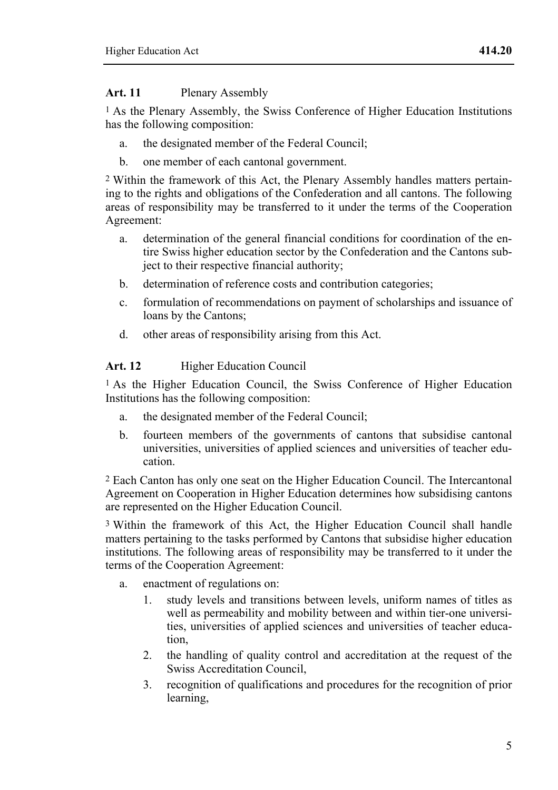#### **Art. 11** Plenary Assembly

1 As the Plenary Assembly, the Swiss Conference of Higher Education Institutions has the following composition:

- a. the designated member of the Federal Council;
- b. one member of each cantonal government.

2 Within the framework of this Act, the Plenary Assembly handles matters pertaining to the rights and obligations of the Confederation and all cantons. The following areas of responsibility may be transferred to it under the terms of the Cooperation Agreement:

- a. determination of the general financial conditions for coordination of the entire Swiss higher education sector by the Confederation and the Cantons subject to their respective financial authority;
- b. determination of reference costs and contribution categories;
- c. formulation of recommendations on payment of scholarships and issuance of loans by the Cantons;
- d. other areas of responsibility arising from this Act.

# Art. 12 Higher Education Council

1 As the Higher Education Council, the Swiss Conference of Higher Education Institutions has the following composition:

- a. the designated member of the Federal Council;
- b. fourteen members of the governments of cantons that subsidise cantonal universities, universities of applied sciences and universities of teacher education.

2 Each Canton has only one seat on the Higher Education Council. The Intercantonal Agreement on Cooperation in Higher Education determines how subsidising cantons are represented on the Higher Education Council.

3 Within the framework of this Act, the Higher Education Council shall handle matters pertaining to the tasks performed by Cantons that subsidise higher education institutions. The following areas of responsibility may be transferred to it under the terms of the Cooperation Agreement:

- a. enactment of regulations on:
	- 1. study levels and transitions between levels, uniform names of titles as well as permeability and mobility between and within tier-one universities, universities of applied sciences and universities of teacher education,
	- 2. the handling of quality control and accreditation at the request of the Swiss Accreditation Council,
	- 3. recognition of qualifications and procedures for the recognition of prior learning,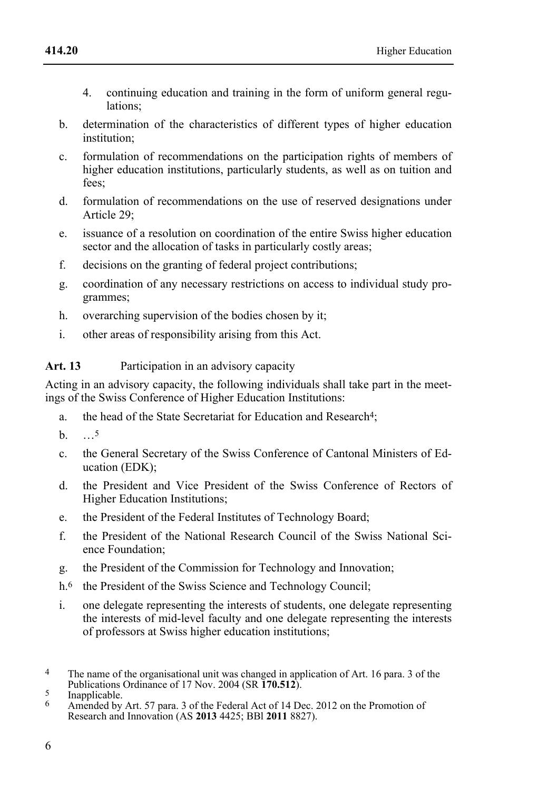- 4. continuing education and training in the form of uniform general regulations;
- b. determination of the characteristics of different types of higher education institution;
- c. formulation of recommendations on the participation rights of members of higher education institutions, particularly students, as well as on tuition and fees;
- d. formulation of recommendations on the use of reserved designations under Article 29;
- e. issuance of a resolution on coordination of the entire Swiss higher education sector and the allocation of tasks in particularly costly areas;
- f. decisions on the granting of federal project contributions;
- g. coordination of any necessary restrictions on access to individual study programmes;
- h. overarching supervision of the bodies chosen by it;
- i. other areas of responsibility arising from this Act.

Art. 13 Participation in an advisory capacity

Acting in an advisory capacity, the following individuals shall take part in the meetings of the Swiss Conference of Higher Education Institutions:

- a. the head of the State Secretariat for Education and Research4;
- $h \t 5$
- c. the General Secretary of the Swiss Conference of Cantonal Ministers of Education (EDK);
- d. the President and Vice President of the Swiss Conference of Rectors of Higher Education Institutions;
- e. the President of the Federal Institutes of Technology Board;
- f. the President of the National Research Council of the Swiss National Science Foundation;
- g. the President of the Commission for Technology and Innovation;
- h.<sup>6</sup> the President of the Swiss Science and Technology Council;
- i. one delegate representing the interests of students, one delegate representing the interests of mid-level faculty and one delegate representing the interests of professors at Swiss higher education institutions;

 $\overline{\mathbf{A}}$ The name of the organisational unit was changed in application of Art. 16 para. 3 of the Publications Ordinance of 17 Nov. 2004 (SR **170.512**).<br><sup>5</sup> Inapplicable. Art 57 nors 3 of the Eadaral Act of 14 De

<sup>6</sup> Amended by Art. 57 para. 3 of the Federal Act of 14 Dec. 2012 on the Promotion of Research and Innovation (AS **2013** 4425; BBl **2011** 8827).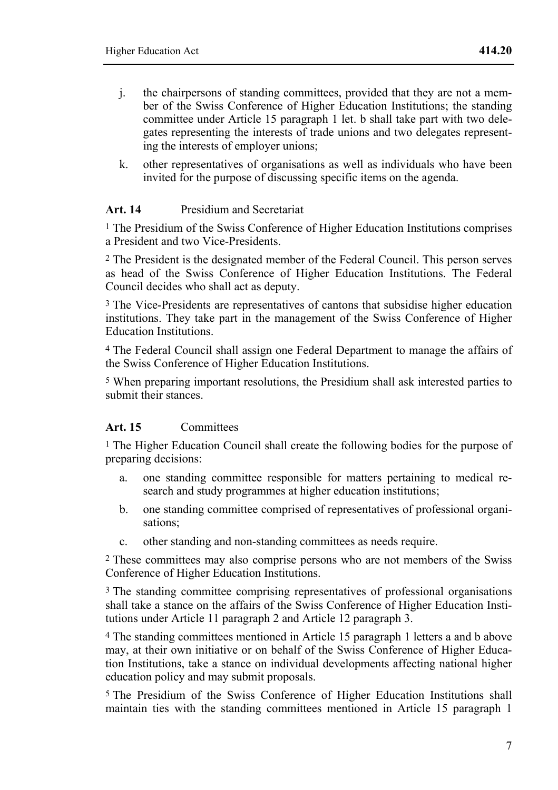- j. the chairpersons of standing committees, provided that they are not a member of the Swiss Conference of Higher Education Institutions; the standing committee under Article 15 paragraph 1 let. b shall take part with two delegates representing the interests of trade unions and two delegates representing the interests of employer unions;
- k. other representatives of organisations as well as individuals who have been invited for the purpose of discussing specific items on the agenda.

#### **Art. 14** Presidium and Secretariat

1 The Presidium of the Swiss Conference of Higher Education Institutions comprises a President and two Vice-Presidents.

2 The President is the designated member of the Federal Council. This person serves as head of the Swiss Conference of Higher Education Institutions. The Federal Council decides who shall act as deputy.

3 The Vice-Presidents are representatives of cantons that subsidise higher education institutions. They take part in the management of the Swiss Conference of Higher Education Institutions.

4 The Federal Council shall assign one Federal Department to manage the affairs of the Swiss Conference of Higher Education Institutions.

5 When preparing important resolutions, the Presidium shall ask interested parties to submit their stances.

#### **Art. 15** Committees

1 The Higher Education Council shall create the following bodies for the purpose of preparing decisions:

- a. one standing committee responsible for matters pertaining to medical research and study programmes at higher education institutions;
- b. one standing committee comprised of representatives of professional organisations;
- c. other standing and non-standing committees as needs require.

2 These committees may also comprise persons who are not members of the Swiss Conference of Higher Education Institutions.

3 The standing committee comprising representatives of professional organisations shall take a stance on the affairs of the Swiss Conference of Higher Education Institutions under Article 11 paragraph 2 and Article 12 paragraph 3.

4 The standing committees mentioned in Article 15 paragraph 1 letters a and b above may, at their own initiative or on behalf of the Swiss Conference of Higher Education Institutions, take a stance on individual developments affecting national higher education policy and may submit proposals.

5 The Presidium of the Swiss Conference of Higher Education Institutions shall maintain ties with the standing committees mentioned in Article 15 paragraph 1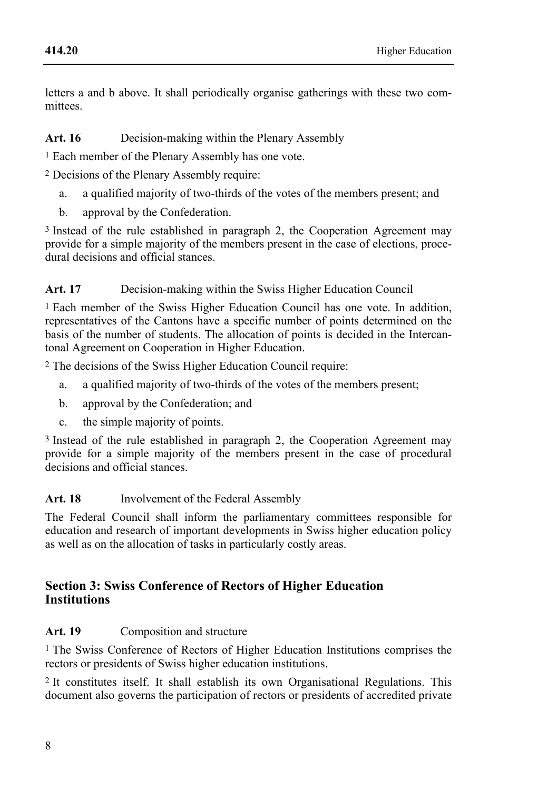letters a and b above. It shall periodically organise gatherings with these two committees.

#### **Art. 16** Decision-making within the Plenary Assembly

1 Each member of the Plenary Assembly has one vote.

2 Decisions of the Plenary Assembly require:

- a. a qualified majority of two-thirds of the votes of the members present; and
- b. approval by the Confederation.

3 Instead of the rule established in paragraph 2, the Cooperation Agreement may provide for a simple majority of the members present in the case of elections, procedural decisions and official stances.

# Art. 17 Decision-making within the Swiss Higher Education Council

1 Each member of the Swiss Higher Education Council has one vote. In addition, representatives of the Cantons have a specific number of points determined on the basis of the number of students. The allocation of points is decided in the Intercantonal Agreement on Cooperation in Higher Education.

2 The decisions of the Swiss Higher Education Council require:

- a. a qualified majority of two-thirds of the votes of the members present;
- b. approval by the Confederation; and
- c. the simple majority of points.

3 Instead of the rule established in paragraph 2, the Cooperation Agreement may provide for a simple majority of the members present in the case of procedural decisions and official stances.

# Art. 18 Involvement of the Federal Assembly

The Federal Council shall inform the parliamentary committees responsible for education and research of important developments in Swiss higher education policy as well as on the allocation of tasks in particularly costly areas.

### **Section 3: Swiss Conference of Rectors of Higher Education Institutions**

# Art. 19 Composition and structure

1 The Swiss Conference of Rectors of Higher Education Institutions comprises the rectors or presidents of Swiss higher education institutions.

2 It constitutes itself. It shall establish its own Organisational Regulations. This document also governs the participation of rectors or presidents of accredited private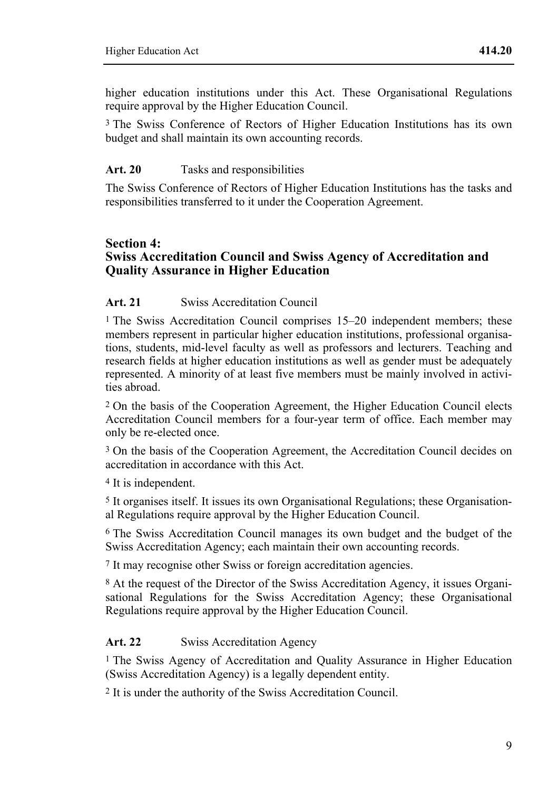higher education institutions under this Act. These Organisational Regulations require approval by the Higher Education Council.

3 The Swiss Conference of Rectors of Higher Education Institutions has its own budget and shall maintain its own accounting records.

#### Art. 20 **Tasks and responsibilities**

The Swiss Conference of Rectors of Higher Education Institutions has the tasks and responsibilities transferred to it under the Cooperation Agreement.

#### **Section 4: Swiss Accreditation Council and Swiss Agency of Accreditation and Quality Assurance in Higher Education**

### **Art. 21** Swiss Accreditation Council

1 The Swiss Accreditation Council comprises 15–20 independent members; these members represent in particular higher education institutions, professional organisations, students, mid-level faculty as well as professors and lecturers. Teaching and research fields at higher education institutions as well as gender must be adequately represented. A minority of at least five members must be mainly involved in activities abroad.

2 On the basis of the Cooperation Agreement, the Higher Education Council elects Accreditation Council members for a four-year term of office. Each member may only be re-elected once.

3 On the basis of the Cooperation Agreement, the Accreditation Council decides on accreditation in accordance with this Act.

4 It is independent.

5 It organises itself. It issues its own Organisational Regulations; these Organisational Regulations require approval by the Higher Education Council.

6 The Swiss Accreditation Council manages its own budget and the budget of the Swiss Accreditation Agency; each maintain their own accounting records.

7 It may recognise other Swiss or foreign accreditation agencies.

8 At the request of the Director of the Swiss Accreditation Agency, it issues Organisational Regulations for the Swiss Accreditation Agency; these Organisational Regulations require approval by the Higher Education Council.

#### Art. 22 Swiss Accreditation Agency

1 The Swiss Agency of Accreditation and Quality Assurance in Higher Education (Swiss Accreditation Agency) is a legally dependent entity.

2 It is under the authority of the Swiss Accreditation Council.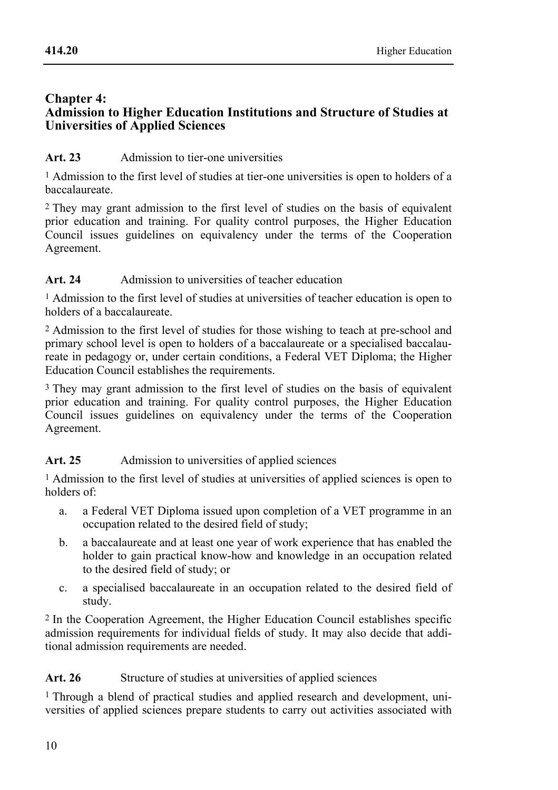#### **Chapter 4: Admission to Higher Education Institutions and Structure of Studies at Universities of Applied Sciences**

# Art. 23 Admission to tier-one universities

1 Admission to the first level of studies at tier-one universities is open to holders of a baccalaureate.

2 They may grant admission to the first level of studies on the basis of equivalent prior education and training. For quality control purposes, the Higher Education Council issues guidelines on equivalency under the terms of the Cooperation Agreement.

# Art. 24 Admission to universities of teacher education

1 Admission to the first level of studies at universities of teacher education is open to holders of a baccalaureate.

2 Admission to the first level of studies for those wishing to teach at pre-school and primary school level is open to holders of a baccalaureate or a specialised baccalaureate in pedagogy or, under certain conditions, a Federal VET Diploma; the Higher Education Council establishes the requirements.

3 They may grant admission to the first level of studies on the basis of equivalent prior education and training. For quality control purposes, the Higher Education Council issues guidelines on equivalency under the terms of the Cooperation Agreement.

# Art. 25 Admission to universities of applied sciences

1 Admission to the first level of studies at universities of applied sciences is open to holders of:

- a. a Federal VET Diploma issued upon completion of a VET programme in an occupation related to the desired field of study;
- b. a baccalaureate and at least one year of work experience that has enabled the holder to gain practical know-how and knowledge in an occupation related to the desired field of study; or
- c. a specialised baccalaureate in an occupation related to the desired field of study.

2 In the Cooperation Agreement, the Higher Education Council establishes specific admission requirements for individual fields of study. It may also decide that additional admission requirements are needed.

# Art. 26 Structure of studies at universities of applied sciences

1 Through a blend of practical studies and applied research and development, universities of applied sciences prepare students to carry out activities associated with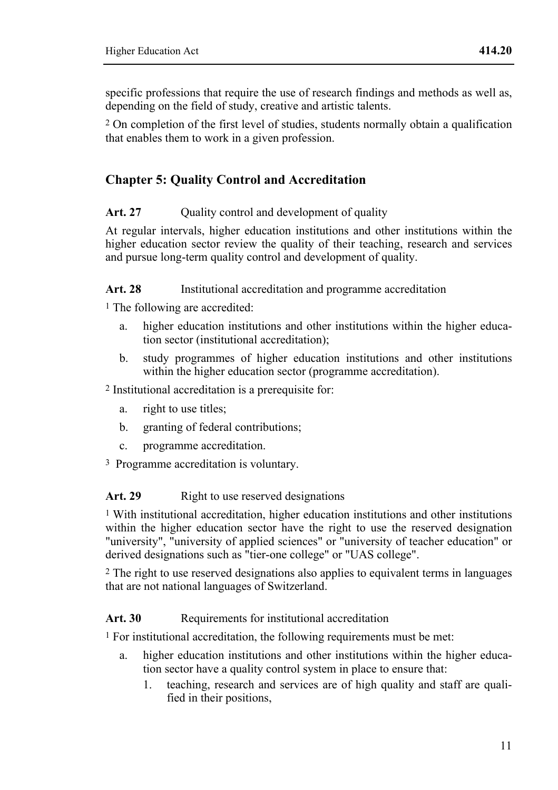specific professions that require the use of research findings and methods as well as, depending on the field of study, creative and artistic talents.

2 On completion of the first level of studies, students normally obtain a qualification that enables them to work in a given profession.

# **Chapter 5: Quality Control and Accreditation**

#### Art. 27 Ouality control and development of quality

At regular intervals, higher education institutions and other institutions within the higher education sector review the quality of their teaching, research and services and pursue long-term quality control and development of quality.

#### Art. 28 Institutional accreditation and programme accreditation

1 The following are accredited:

- a. higher education institutions and other institutions within the higher education sector (institutional accreditation);
- b. study programmes of higher education institutions and other institutions within the higher education sector (programme accreditation).

2 Institutional accreditation is a prerequisite for:

- a. right to use titles;
- b. granting of federal contributions;
- c. programme accreditation.
- 3 Programme accreditation is voluntary.

#### Art. 29 Right to use reserved designations

1 With institutional accreditation, higher education institutions and other institutions within the higher education sector have the right to use the reserved designation "university", "university of applied sciences" or "university of teacher education" or derived designations such as "tier-one college" or "UAS college".

2 The right to use reserved designations also applies to equivalent terms in languages that are not national languages of Switzerland.

#### Art. 30 Requirements for institutional accreditation

1 For institutional accreditation, the following requirements must be met:

- a. higher education institutions and other institutions within the higher education sector have a quality control system in place to ensure that:
	- 1. teaching, research and services are of high quality and staff are qualified in their positions,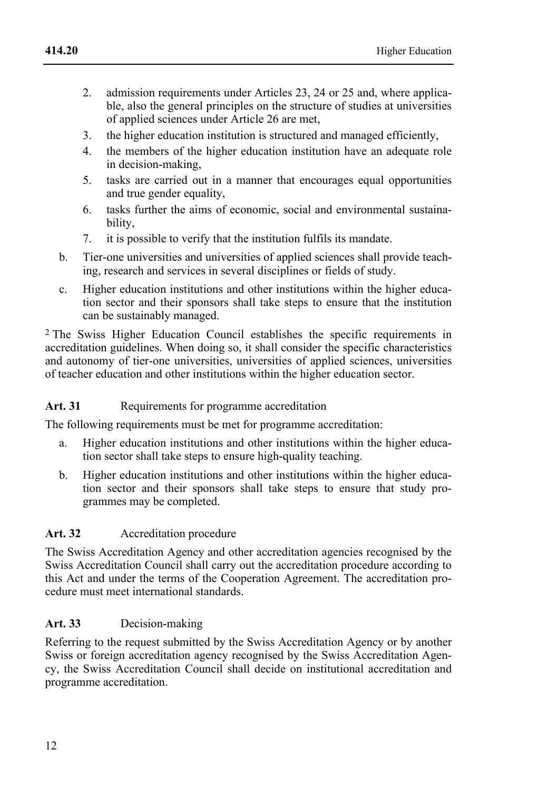- **414.20** 
	- 2. admission requirements under Articles 23, 24 or 25 and, where applicable, also the general principles on the structure of studies at universities of applied sciences under Article 26 are met,
	- 3. the higher education institution is structured and managed efficiently,
	- 4. the members of the higher education institution have an adequate role in decision-making,
	- 5. tasks are carried out in a manner that encourages equal opportunities and true gender equality,
	- 6. tasks further the aims of economic, social and environmental sustainability,
	- 7. it is possible to verify that the institution fulfils its mandate.
	- b. Tier-one universities and universities of applied sciences shall provide teaching, research and services in several disciplines or fields of study.
	- c. Higher education institutions and other institutions within the higher education sector and their sponsors shall take steps to ensure that the institution can be sustainably managed.

2 The Swiss Higher Education Council establishes the specific requirements in accreditation guidelines. When doing so, it shall consider the specific characteristics and autonomy of tier-one universities, universities of applied sciences, universities of teacher education and other institutions within the higher education sector.

# Art. 31 Requirements for programme accreditation

The following requirements must be met for programme accreditation:

- a. Higher education institutions and other institutions within the higher education sector shall take steps to ensure high-quality teaching.
- b. Higher education institutions and other institutions within the higher education sector and their sponsors shall take steps to ensure that study programmes may be completed.

# **Art. 32** Accreditation procedure

The Swiss Accreditation Agency and other accreditation agencies recognised by the Swiss Accreditation Council shall carry out the accreditation procedure according to this Act and under the terms of the Cooperation Agreement. The accreditation procedure must meet international standards.

# **Art. 33** Decision-making

Referring to the request submitted by the Swiss Accreditation Agency or by another Swiss or foreign accreditation agency recognised by the Swiss Accreditation Agency, the Swiss Accreditation Council shall decide on institutional accreditation and programme accreditation.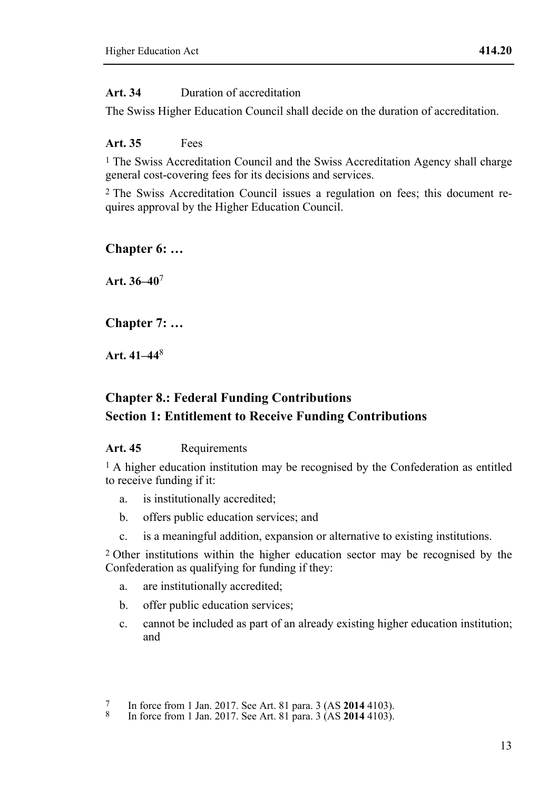# **Art. 34** Duration of accreditation

The Swiss Higher Education Council shall decide on the duration of accreditation.

# **Art. 35** Fees

<sup>1</sup> The Swiss Accreditation Council and the Swiss Accreditation Agency shall charge general cost-covering fees for its decisions and services.

2 The Swiss Accreditation Council issues a regulation on fees; this document requires approval by the Higher Education Council.

# **Chapter 6: …**

**Art. 36–40**<sup>7</sup>

# **Chapter 7: …**

**Art. 41–44**<sup>8</sup>

# **Chapter 8.: Federal Funding Contributions Section 1: Entitlement to Receive Funding Contributions**

# Art. 45 Requirements

1 A higher education institution may be recognised by the Confederation as entitled to receive funding if it:

- a. is institutionally accredited;
- b. offers public education services; and
- c. is a meaningful addition, expansion or alternative to existing institutions.

2 Other institutions within the higher education sector may be recognised by the Confederation as qualifying for funding if they:

- a. are institutionally accredited;
- b. offer public education services;
- c. cannot be included as part of an already existing higher education institution; and

<sup>7</sup> In force from 1 Jan. 2017. See Art. 81 para. 3 (AS **2014** 4103). 8 In force from 1 Jan. 2017. See Art. 81 para. 3 (AS **2014** 4103).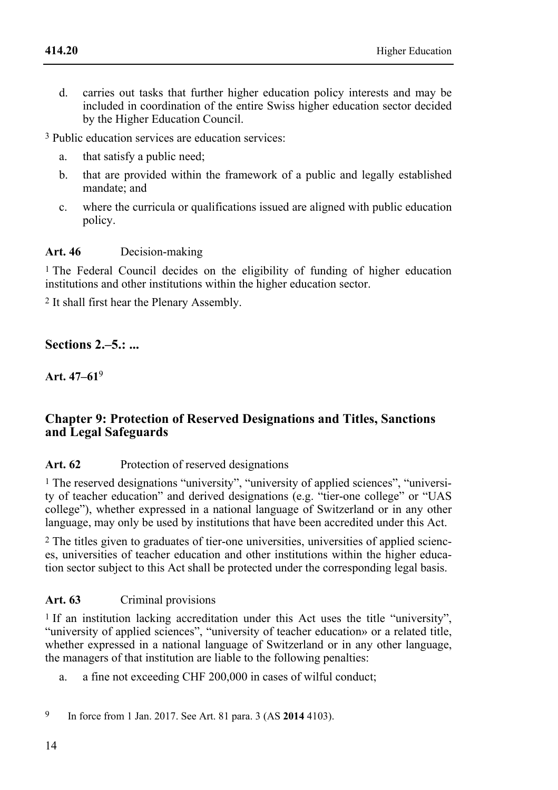d. carries out tasks that further higher education policy interests and may be included in coordination of the entire Swiss higher education sector decided by the Higher Education Council.

3 Public education services are education services:

- a. that satisfy a public need;
- b. that are provided within the framework of a public and legally established mandate; and
- c. where the curricula or qualifications issued are aligned with public education policy.

#### **Art. 46** Decision-making

1 The Federal Council decides on the eligibility of funding of higher education institutions and other institutions within the higher education sector.

2 It shall first hear the Plenary Assembly.

# **Sections 2.‒5.: ...**

**Art. 47–61**<sup>9</sup>

### **Chapter 9: Protection of Reserved Designations and Titles, Sanctions and Legal Safeguards**

#### Art. 62 Protection of reserved designations

1 The reserved designations "university", "university of applied sciences", "university of teacher education" and derived designations (e.g. "tier-one college" or "UAS college"), whether expressed in a national language of Switzerland or in any other language, may only be used by institutions that have been accredited under this Act.

2 The titles given to graduates of tier-one universities, universities of applied sciences, universities of teacher education and other institutions within the higher education sector subject to this Act shall be protected under the corresponding legal basis.

#### **Art. 63** Criminal provisions

<sup>1</sup> If an institution lacking accreditation under this Act uses the title "university", "university of applied sciences", "university of teacher education» or a related title, whether expressed in a national language of Switzerland or in any other language, the managers of that institution are liable to the following penalties:

a. a fine not exceeding CHF 200,000 in cases of wilful conduct;

9 In force from 1 Jan. 2017. See Art. 81 para. 3 (AS **2014** 4103).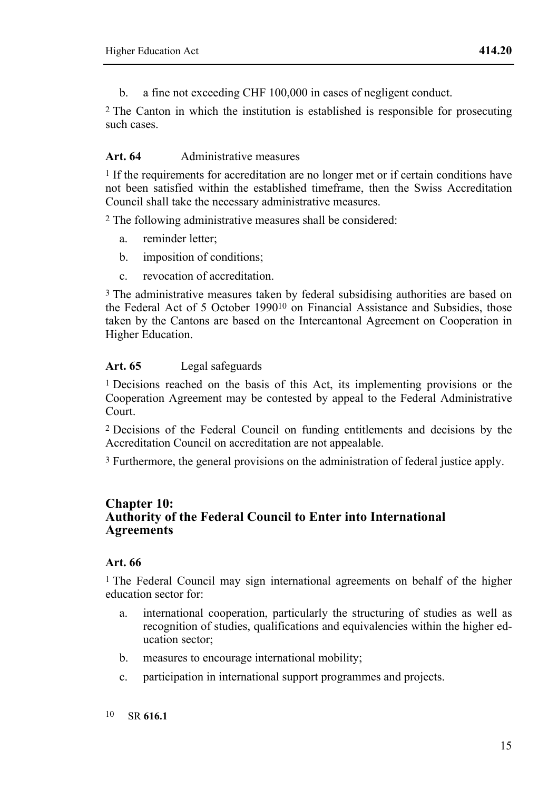b. a fine not exceeding CHF 100,000 in cases of negligent conduct.

2 The Canton in which the institution is established is responsible for prosecuting such cases.

#### **Art. 64** Administrative measures

<sup>1</sup> If the requirements for accreditation are no longer met or if certain conditions have not been satisfied within the established timeframe, then the Swiss Accreditation Council shall take the necessary administrative measures.

2 The following administrative measures shall be considered:

- a. reminder letter;
- b. imposition of conditions;
- c. revocation of accreditation.

3 The administrative measures taken by federal subsidising authorities are based on the Federal Act of 5 October 199010 on Financial Assistance and Subsidies, those taken by the Cantons are based on the Intercantonal Agreement on Cooperation in Higher Education.

#### **Art. 65** Legal safeguards

1 Decisions reached on the basis of this Act, its implementing provisions or the Cooperation Agreement may be contested by appeal to the Federal Administrative Court.

2 Decisions of the Federal Council on funding entitlements and decisions by the Accreditation Council on accreditation are not appealable.

3 Furthermore, the general provisions on the administration of federal justice apply.

#### **Chapter 10: Authority of the Federal Council to Enter into International Agreements**

#### **Art. 66**

1 The Federal Council may sign international agreements on behalf of the higher education sector for:

- a. international cooperation, particularly the structuring of studies as well as recognition of studies, qualifications and equivalencies within the higher education sector;
- b. measures to encourage international mobility;
- c. participation in international support programmes and projects.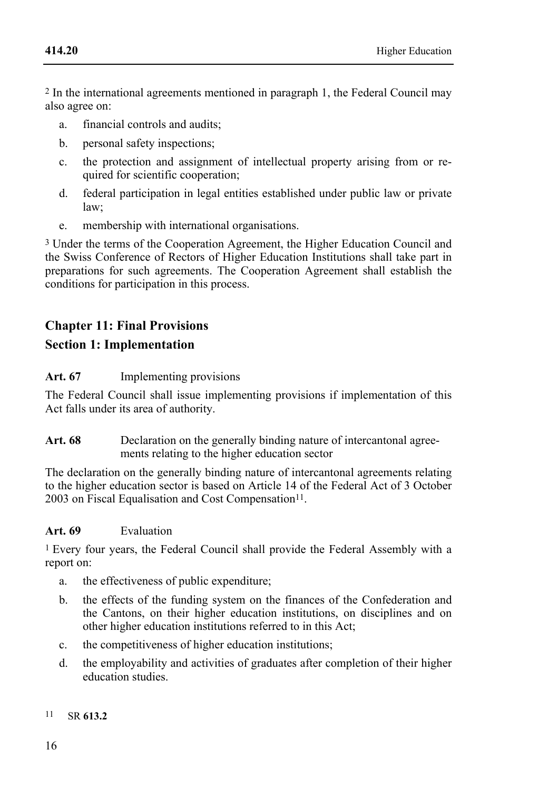2 In the international agreements mentioned in paragraph 1, the Federal Council may also agree on:

- a. financial controls and audits;
- b. personal safety inspections;
- c. the protection and assignment of intellectual property arising from or required for scientific cooperation;
- d. federal participation in legal entities established under public law or private law;
- e. membership with international organisations.

3 Under the terms of the Cooperation Agreement, the Higher Education Council and the Swiss Conference of Rectors of Higher Education Institutions shall take part in preparations for such agreements. The Cooperation Agreement shall establish the conditions for participation in this process.

# **Chapter 11: Final Provisions Section 1: Implementation**

#### **Art. 67** Implementing provisions

The Federal Council shall issue implementing provisions if implementation of this Act falls under its area of authority.

Art. 68 Declaration on the generally binding nature of intercantonal agreements relating to the higher education sector

The declaration on the generally binding nature of intercantonal agreements relating to the higher education sector is based on Article 14 of the Federal Act of 3 October 2003 on Fiscal Equalisation and Cost Compensation<sup>11</sup>.

#### **Art. 69** Evaluation

1 Every four years, the Federal Council shall provide the Federal Assembly with a report on:

- a. the effectiveness of public expenditure;
- b. the effects of the funding system on the finances of the Confederation and the Cantons, on their higher education institutions, on disciplines and on other higher education institutions referred to in this Act;
- c. the competitiveness of higher education institutions;
- d. the employability and activities of graduates after completion of their higher education studies.

#### 11 SR **613.2**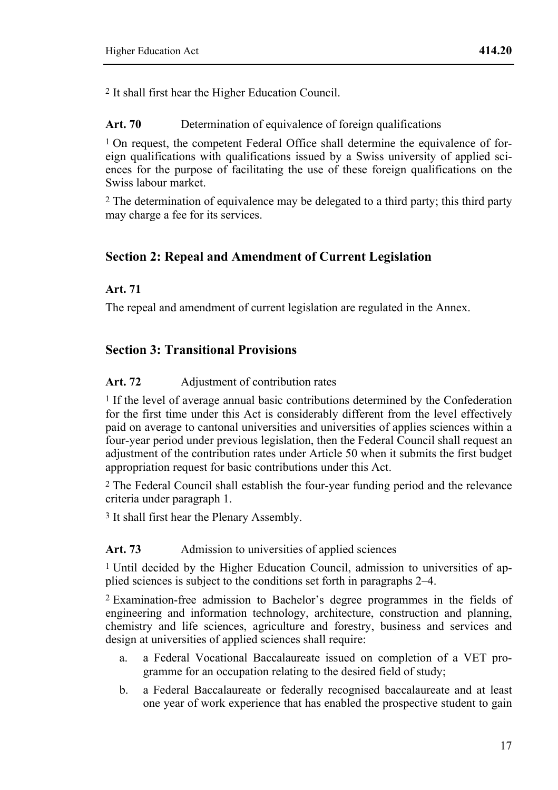2 It shall first hear the Higher Education Council.

Art. 70 Determination of equivalence of foreign qualifications

 $1$  On request, the competent Federal Office shall determine the equivalence of foreign qualifications with qualifications issued by a Swiss university of applied sciences for the purpose of facilitating the use of these foreign qualifications on the Swiss labour market.

<sup>2</sup> The determination of equivalence may be delegated to a third party; this third party may charge a fee for its services.

# **Section 2: Repeal and Amendment of Current Legislation**

### **Art. 71**

The repeal and amendment of current legislation are regulated in the Annex.

# **Section 3: Transitional Provisions**

### Art. 72 Adjustment of contribution rates

1 If the level of average annual basic contributions determined by the Confederation for the first time under this Act is considerably different from the level effectively paid on average to cantonal universities and universities of applies sciences within a four-year period under previous legislation, then the Federal Council shall request an adjustment of the contribution rates under Article 50 when it submits the first budget appropriation request for basic contributions under this Act.

2 The Federal Council shall establish the four-year funding period and the relevance criteria under paragraph 1.

3 It shall first hear the Plenary Assembly.

# Art. 73 Admission to universities of applied sciences

1 Until decided by the Higher Education Council, admission to universities of applied sciences is subject to the conditions set forth in paragraphs 2–4.

2 Examination-free admission to Bachelor's degree programmes in the fields of engineering and information technology, architecture, construction and planning, chemistry and life sciences, agriculture and forestry, business and services and design at universities of applied sciences shall require:

- a. a Federal Vocational Baccalaureate issued on completion of a VET programme for an occupation relating to the desired field of study;
- b. a Federal Baccalaureate or federally recognised baccalaureate and at least one year of work experience that has enabled the prospective student to gain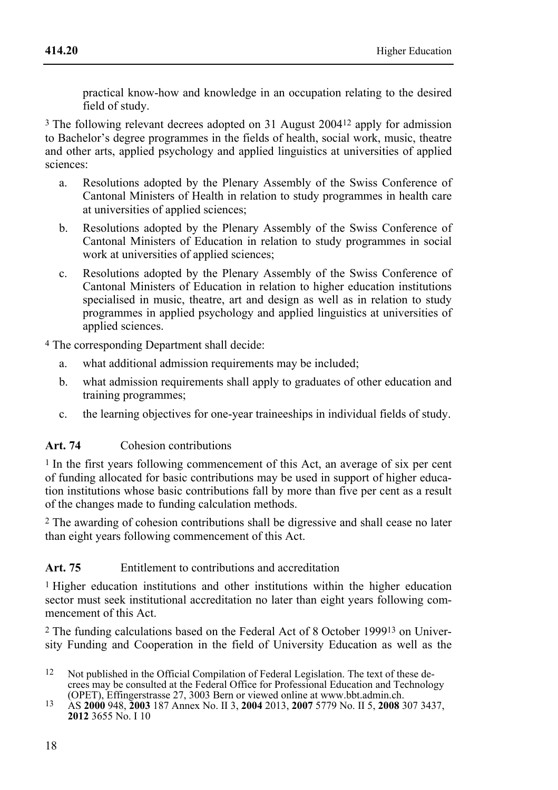practical know-how and knowledge in an occupation relating to the desired field of study.

3 The following relevant decrees adopted on 31 August 200412 apply for admission to Bachelor's degree programmes in the fields of health, social work, music, theatre and other arts, applied psychology and applied linguistics at universities of applied sciences:

- a. Resolutions adopted by the Plenary Assembly of the Swiss Conference of Cantonal Ministers of Health in relation to study programmes in health care at universities of applied sciences;
- b. Resolutions adopted by the Plenary Assembly of the Swiss Conference of Cantonal Ministers of Education in relation to study programmes in social work at universities of applied sciences:
- c. Resolutions adopted by the Plenary Assembly of the Swiss Conference of Cantonal Ministers of Education in relation to higher education institutions specialised in music, theatre, art and design as well as in relation to study programmes in applied psychology and applied linguistics at universities of applied sciences.

4 The corresponding Department shall decide:

- a. what additional admission requirements may be included;
- b. what admission requirements shall apply to graduates of other education and training programmes;
- c. the learning objectives for one-year traineeships in individual fields of study.

# **Art. 74** Cohesion contributions

1 In the first years following commencement of this Act, an average of six per cent of funding allocated for basic contributions may be used in support of higher education institutions whose basic contributions fall by more than five per cent as a result of the changes made to funding calculation methods.

2 The awarding of cohesion contributions shall be digressive and shall cease no later than eight years following commencement of this Act.

# Art. 75 Entitlement to contributions and accreditation

1 Higher education institutions and other institutions within the higher education sector must seek institutional accreditation no later than eight years following commencement of this Act.

2 The funding calculations based on the Federal Act of 8 October 199913 on University Funding and Cooperation in the field of University Education as well as the

- $12$ Not published in the Official Compilation of Federal Legislation. The text of these decrees may be consulted at the Federal Office for Professional Education and Technology (OPET), Effingerstrasse 27, 3003 Bern or viewed online at www.bbt.admin.ch.
- (OPET), Effingerstrasse 27, 3003 Bern or viewed online at www.bbt.admin.ch. 13 AS **2000** 948, **2003** 187 Annex No. II 3, **2004** 2013, **2007** 5779 No. II 5, **2008** 307 3437, **2012** 3655 No. I 10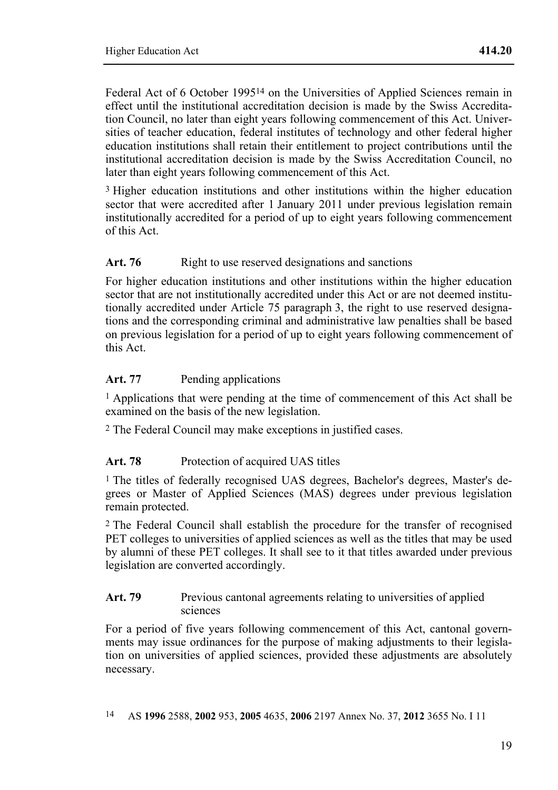Federal Act of 6 October 199514 on the Universities of Applied Sciences remain in effect until the institutional accreditation decision is made by the Swiss Accreditation Council, no later than eight years following commencement of this Act. Universities of teacher education, federal institutes of technology and other federal higher education institutions shall retain their entitlement to project contributions until the institutional accreditation decision is made by the Swiss Accreditation Council, no later than eight years following commencement of this Act.

<sup>3</sup> Higher education institutions and other institutions within the higher education sector that were accredited after 1 January 2011 under previous legislation remain institutionally accredited for a period of up to eight years following commencement of this Act.

#### Art. 76 Right to use reserved designations and sanctions

For higher education institutions and other institutions within the higher education sector that are not institutionally accredited under this Act or are not deemed institutionally accredited under Article 75 paragraph 3, the right to use reserved designations and the corresponding criminal and administrative law penalties shall be based on previous legislation for a period of up to eight years following commencement of this Act.

#### Art. 77 Pending applications

1 Applications that were pending at the time of commencement of this Act shall be examined on the basis of the new legislation.

2 The Federal Council may make exceptions in justified cases.

#### Art. 78 Protection of acquired UAS titles

1 The titles of federally recognised UAS degrees, Bachelor's degrees, Master's degrees or Master of Applied Sciences (MAS) degrees under previous legislation remain protected.

2 The Federal Council shall establish the procedure for the transfer of recognised PET colleges to universities of applied sciences as well as the titles that may be used by alumni of these PET colleges. It shall see to it that titles awarded under previous legislation are converted accordingly.

#### Art. 79 Previous cantonal agreements relating to universities of applied sciences

For a period of five years following commencement of this Act, cantonal governments may issue ordinances for the purpose of making adjustments to their legislation on universities of applied sciences, provided these adjustments are absolutely necessary.

14 AS **1996** 2588, **2002** 953, **2005** 4635, **2006** 2197 Annex No. 37, **2012** 3655 No. I 11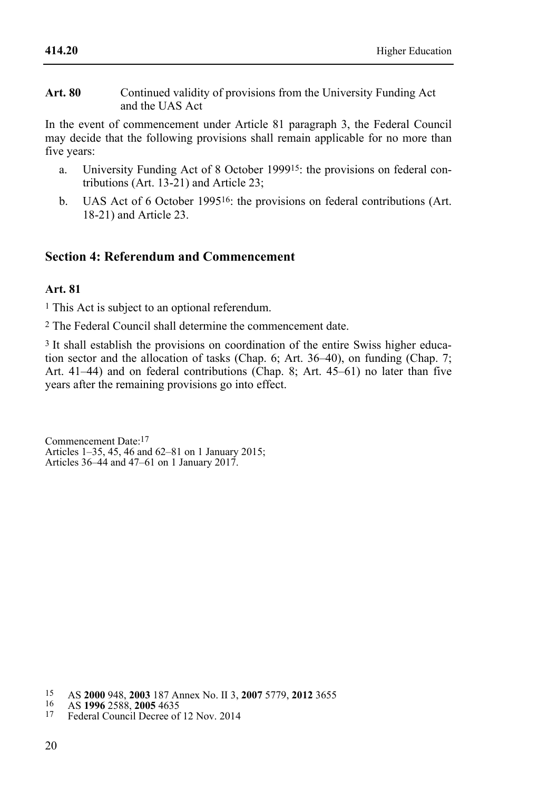#### **Art. 80** Continued validity of provisions from the University Funding Act and the UAS Act

In the event of commencement under Article 81 paragraph 3, the Federal Council may decide that the following provisions shall remain applicable for no more than five years:

- a. University Funding Act of 8 October 199915: the provisions on federal contributions (Art. 13-21) and Article 23;
- b. UAS Act of 6 October 199516: the provisions on federal contributions (Art. 18-21) and Article 23.

# **Section 4: Referendum and Commencement**

#### **Art. 81**

1 This Act is subject to an optional referendum.

2 The Federal Council shall determine the commencement date.

3 It shall establish the provisions on coordination of the entire Swiss higher education sector and the allocation of tasks (Chap. 6; Art. 36–40), on funding (Chap. 7; Art. 41–44) and on federal contributions (Chap. 8; Art. 45–61) no later than five years after the remaining provisions go into effect.

Commencement Date:17 Articles 1–35, 45, 46 and 62–81 on 1 January 2015; Articles 36–44 and 47–61 on 1 January 2017.

<sup>15</sup> 15 AS **2000** 948, **2003** 187 Annex No. II 3, **2007** 5779, **2012** 3655 16 AS **1996** 2588, **2005** 4635 17 Federal Council Decree of 12 Nov. 2014